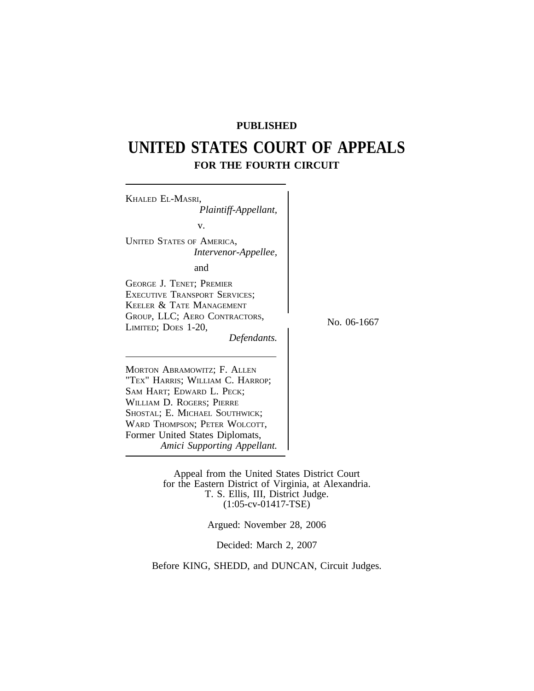## **PUBLISHED**

# **UNITED STATES COURT OF APPEALS FOR THE FOURTH CIRCUIT**

| KHALED EL-MASRI,<br>Plaintiff-Appellant,<br>V.                                                                                                                                                                                                                 |             |
|----------------------------------------------------------------------------------------------------------------------------------------------------------------------------------------------------------------------------------------------------------------|-------------|
| <b>UNITED STATES OF AMERICA,</b><br>Intervenor-Appellee,<br>and                                                                                                                                                                                                |             |
| <b>GEORGE J. TENET; PREMIER</b><br><b>EXECUTIVE TRANSPORT SERVICES;</b><br>KEELER & TATE MANAGEMENT<br>GROUP, LLC; AERO CONTRACTORS,<br>LIMITED; DOES 1-20,<br>Defendants.                                                                                     | No. 06-1667 |
| MORTON ABRAMOWITZ; F. ALLEN<br>"TEX" HARRIS; WILLIAM C. HARROP;<br>SAM HART; EDWARD L. PECK;<br>WILLIAM D. ROGERS; PIERRE<br>Shostal; E. Michael Southwick;<br>WARD THOMPSON; PETER WOLCOTT,<br>Former United States Diplomats,<br>Amici Supporting Appellant. |             |

Appeal from the United States District Court for the Eastern District of Virginia, at Alexandria. T. S. Ellis, III, District Judge.  $(1:05-cv-01417-TSE)$ 

Argued: November 28, 2006

Decided: March 2, 2007

Before KING, SHEDD, and DUNCAN, Circuit Judges.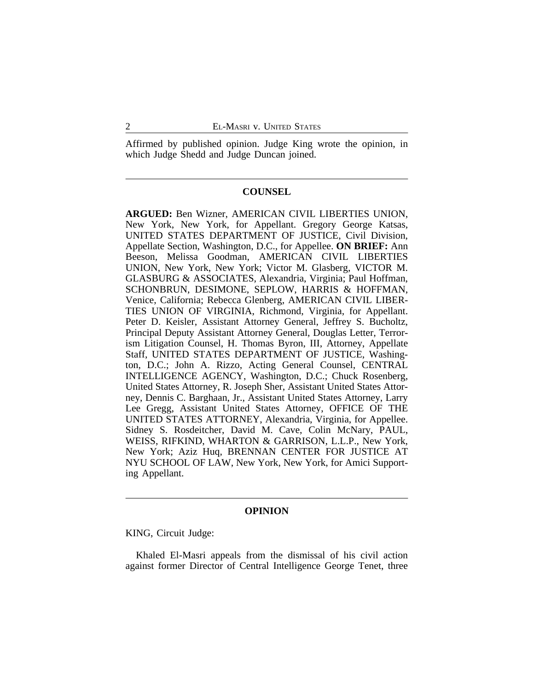Affirmed by published opinion. Judge King wrote the opinion, in which Judge Shedd and Judge Duncan joined.

### **COUNSEL**

**ARGUED:** Ben Wizner, AMERICAN CIVIL LIBERTIES UNION, New York, New York, for Appellant. Gregory George Katsas, UNITED STATES DEPARTMENT OF JUSTICE, Civil Division, Appellate Section, Washington, D.C., for Appellee. **ON BRIEF:** Ann Beeson, Melissa Goodman, AMERICAN CIVIL LIBERTIES UNION, New York, New York; Victor M. Glasberg, VICTOR M. GLASBURG & ASSOCIATES, Alexandria, Virginia; Paul Hoffman, SCHONBRUN, DESIMONE, SEPLOW, HARRIS & HOFFMAN, Venice, California; Rebecca Glenberg, AMERICAN CIVIL LIBER-TIES UNION OF VIRGINIA, Richmond, Virginia, for Appellant. Peter D. Keisler, Assistant Attorney General, Jeffrey S. Bucholtz, Principal Deputy Assistant Attorney General, Douglas Letter, Terrorism Litigation Counsel, H. Thomas Byron, III, Attorney, Appellate Staff, UNITED STATES DEPARTMENT OF JUSTICE, Washington, D.C.; John A. Rizzo, Acting General Counsel, CENTRAL INTELLIGENCE AGENCY, Washington, D.C.; Chuck Rosenberg, United States Attorney, R. Joseph Sher, Assistant United States Attorney, Dennis C. Barghaan, Jr., Assistant United States Attorney, Larry Lee Gregg, Assistant United States Attorney, OFFICE OF THE UNITED STATES ATTORNEY, Alexandria, Virginia, for Appellee. Sidney S. Rosdeitcher, David M. Cave, Colin McNary, PAUL, WEISS, RIFKIND, WHARTON & GARRISON, L.L.P., New York, New York; Aziz Huq, BRENNAN CENTER FOR JUSTICE AT NYU SCHOOL OF LAW, New York, New York, for Amici Supporting Appellant.

### **OPINION**

KING, Circuit Judge:

Khaled El-Masri appeals from the dismissal of his civil action against former Director of Central Intelligence George Tenet, three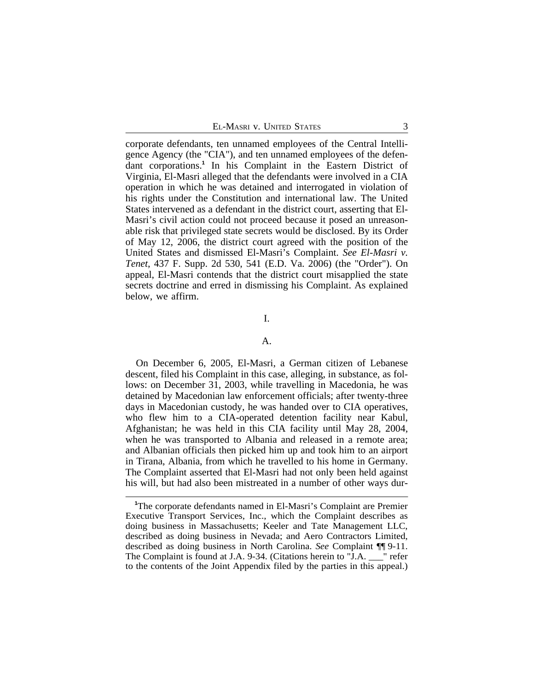corporate defendants, ten unnamed employees of the Central Intelligence Agency (the "CIA"), and ten unnamed employees of the defendant corporations.**<sup>1</sup>** In his Complaint in the Eastern District of Virginia, El-Masri alleged that the defendants were involved in a CIA operation in which he was detained and interrogated in violation of his rights under the Constitution and international law. The United States intervened as a defendant in the district court, asserting that El-Masri's civil action could not proceed because it posed an unreasonable risk that privileged state secrets would be disclosed. By its Order of May 12, 2006, the district court agreed with the position of the United States and dismissed El-Masri's Complaint. *See El-Masri v. Tenet*, 437 F. Supp. 2d 530, 541 (E.D. Va. 2006) (the "Order"). On appeal, El-Masri contends that the district court misapplied the state secrets doctrine and erred in dismissing his Complaint. As explained below, we affirm.

### I.

### A.

On December 6, 2005, El-Masri, a German citizen of Lebanese descent, filed his Complaint in this case, alleging, in substance, as follows: on December 31, 2003, while travelling in Macedonia, he was detained by Macedonian law enforcement officials; after twenty-three days in Macedonian custody, he was handed over to CIA operatives, who flew him to a CIA-operated detention facility near Kabul, Afghanistan; he was held in this CIA facility until May 28, 2004, when he was transported to Albania and released in a remote area; and Albanian officials then picked him up and took him to an airport in Tirana, Albania, from which he travelled to his home in Germany. The Complaint asserted that El-Masri had not only been held against his will, but had also been mistreated in a number of other ways dur-

**<sup>1</sup>**The corporate defendants named in El-Masri's Complaint are Premier Executive Transport Services, Inc., which the Complaint describes as doing business in Massachusetts; Keeler and Tate Management LLC, described as doing business in Nevada; and Aero Contractors Limited, described as doing business in North Carolina. *See* Complaint ¶¶ 9-11. The Complaint is found at J.A. 9-34. (Citations herein to "J.A. \_\_\_" refer to the contents of the Joint Appendix filed by the parties in this appeal.)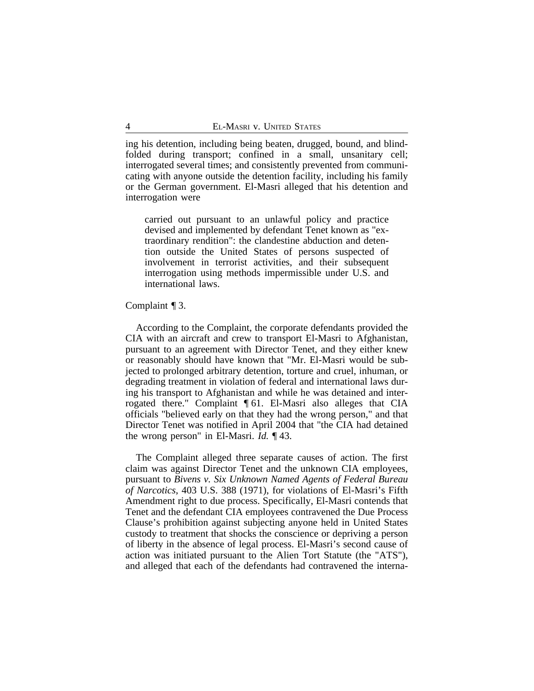ing his detention, including being beaten, drugged, bound, and blindfolded during transport; confined in a small, unsanitary cell; interrogated several times; and consistently prevented from communicating with anyone outside the detention facility, including his family or the German government. El-Masri alleged that his detention and interrogation were

carried out pursuant to an unlawful policy and practice devised and implemented by defendant Tenet known as "extraordinary rendition": the clandestine abduction and detention outside the United States of persons suspected of involvement in terrorist activities, and their subsequent interrogation using methods impermissible under U.S. and international laws.

#### Complaint ¶ 3.

According to the Complaint, the corporate defendants provided the CIA with an aircraft and crew to transport El-Masri to Afghanistan, pursuant to an agreement with Director Tenet, and they either knew or reasonably should have known that "Mr. El-Masri would be subjected to prolonged arbitrary detention, torture and cruel, inhuman, or degrading treatment in violation of federal and international laws during his transport to Afghanistan and while he was detained and interrogated there." Complaint ¶ 61. El-Masri also alleges that CIA officials "believed early on that they had the wrong person," and that Director Tenet was notified in April 2004 that "the CIA had detained the wrong person" in El-Masri. *Id.* ¶ 43.

The Complaint alleged three separate causes of action. The first claim was against Director Tenet and the unknown CIA employees, pursuant to *Bivens v. Six Unknown Named Agents of Federal Bureau of Narcotics*, 403 U.S. 388 (1971), for violations of El-Masri's Fifth Amendment right to due process. Specifically, El-Masri contends that Tenet and the defendant CIA employees contravened the Due Process Clause's prohibition against subjecting anyone held in United States custody to treatment that shocks the conscience or depriving a person of liberty in the absence of legal process. El-Masri's second cause of action was initiated pursuant to the Alien Tort Statute (the "ATS"), and alleged that each of the defendants had contravened the interna-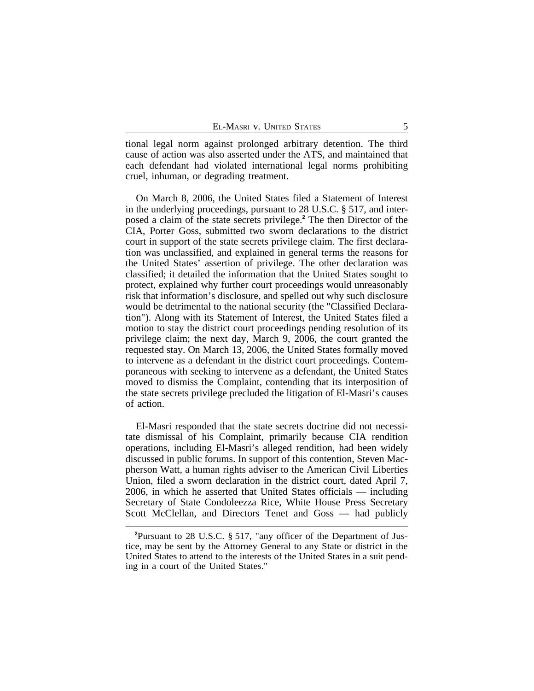tional legal norm against prolonged arbitrary detention. The third cause of action was also asserted under the ATS, and maintained that each defendant had violated international legal norms prohibiting cruel, inhuman, or degrading treatment.

On March 8, 2006, the United States filed a Statement of Interest in the underlying proceedings, pursuant to 28 U.S.C. § 517, and interposed a claim of the state secrets privilege.**<sup>2</sup>** The then Director of the CIA, Porter Goss, submitted two sworn declarations to the district court in support of the state secrets privilege claim. The first declaration was unclassified, and explained in general terms the reasons for the United States' assertion of privilege. The other declaration was classified; it detailed the information that the United States sought to protect, explained why further court proceedings would unreasonably risk that information's disclosure, and spelled out why such disclosure would be detrimental to the national security (the "Classified Declaration"). Along with its Statement of Interest, the United States filed a motion to stay the district court proceedings pending resolution of its privilege claim; the next day, March 9, 2006, the court granted the requested stay. On March 13, 2006, the United States formally moved to intervene as a defendant in the district court proceedings. Contemporaneous with seeking to intervene as a defendant, the United States moved to dismiss the Complaint, contending that its interposition of the state secrets privilege precluded the litigation of El-Masri's causes of action.

El-Masri responded that the state secrets doctrine did not necessitate dismissal of his Complaint, primarily because CIA rendition operations, including El-Masri's alleged rendition, had been widely discussed in public forums. In support of this contention, Steven Macpherson Watt, a human rights adviser to the American Civil Liberties Union, filed a sworn declaration in the district court, dated April 7, 2006, in which he asserted that United States officials — including Secretary of State Condoleezza Rice, White House Press Secretary Scott McClellan, and Directors Tenet and Goss — had publicly

**<sup>2</sup>**Pursuant to 28 U.S.C. § 517, "any officer of the Department of Justice, may be sent by the Attorney General to any State or district in the United States to attend to the interests of the United States in a suit pending in a court of the United States."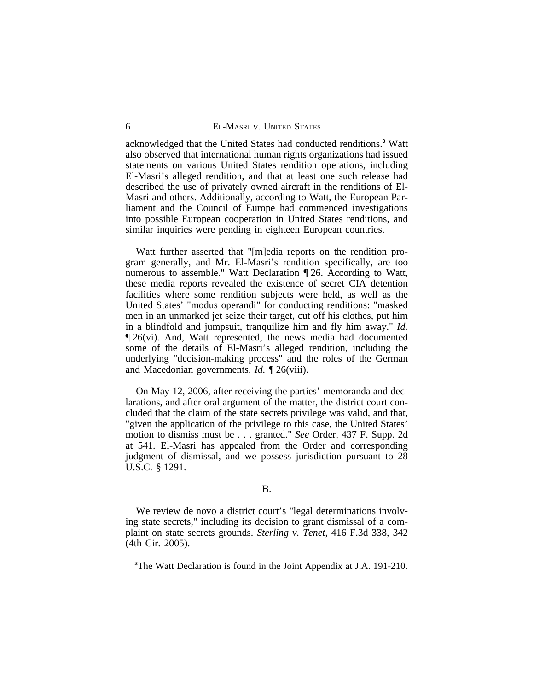acknowledged that the United States had conducted renditions.**<sup>3</sup>** Watt also observed that international human rights organizations had issued statements on various United States rendition operations, including El-Masri's alleged rendition, and that at least one such release had described the use of privately owned aircraft in the renditions of El-Masri and others. Additionally, according to Watt, the European Parliament and the Council of Europe had commenced investigations into possible European cooperation in United States renditions, and similar inquiries were pending in eighteen European countries.

Watt further asserted that "[m]edia reports on the rendition program generally, and Mr. El-Masri's rendition specifically, are too numerous to assemble." Watt Declaration ¶ 26. According to Watt, these media reports revealed the existence of secret CIA detention facilities where some rendition subjects were held, as well as the United States' "modus operandi" for conducting renditions: "masked men in an unmarked jet seize their target, cut off his clothes, put him in a blindfold and jumpsuit, tranquilize him and fly him away." *Id.* ¶ 26(vi). And, Watt represented, the news media had documented some of the details of El-Masri's alleged rendition, including the underlying "decision-making process" and the roles of the German and Macedonian governments. *Id.* ¶ 26(viii).

On May 12, 2006, after receiving the parties' memoranda and declarations, and after oral argument of the matter, the district court concluded that the claim of the state secrets privilege was valid, and that, "given the application of the privilege to this case, the United States' motion to dismiss must be . . . granted." *See* Order, 437 F. Supp. 2d at 541. El-Masri has appealed from the Order and corresponding judgment of dismissal, and we possess jurisdiction pursuant to 28 U.S.C. § 1291.

B.

We review de novo a district court's "legal determinations involving state secrets," including its decision to grant dismissal of a complaint on state secrets grounds. *Sterling v. Tenet*, 416 F.3d 338, 342 (4th Cir. 2005).

**<sup>3</sup>**The Watt Declaration is found in the Joint Appendix at J.A. 191-210.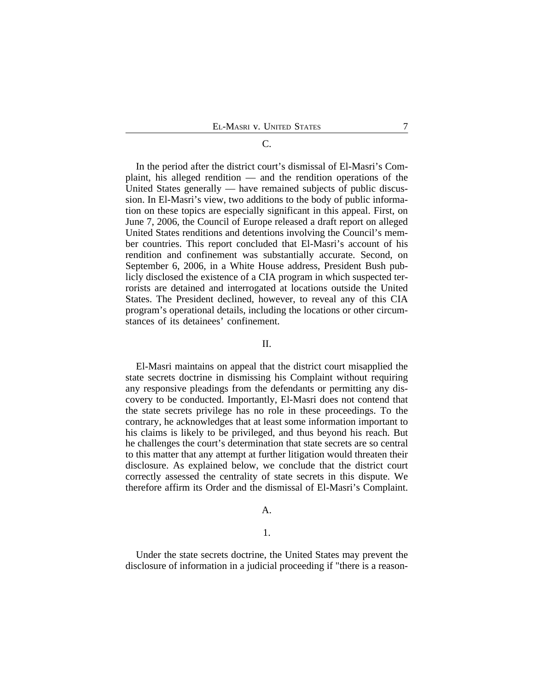# C.

In the period after the district court's dismissal of El-Masri's Complaint, his alleged rendition — and the rendition operations of the United States generally — have remained subjects of public discussion. In El-Masri's view, two additions to the body of public information on these topics are especially significant in this appeal. First, on June 7, 2006, the Council of Europe released a draft report on alleged United States renditions and detentions involving the Council's member countries. This report concluded that El-Masri's account of his rendition and confinement was substantially accurate. Second, on September 6, 2006, in a White House address, President Bush publicly disclosed the existence of a CIA program in which suspected terrorists are detained and interrogated at locations outside the United States. The President declined, however, to reveal any of this CIA program's operational details, including the locations or other circumstances of its detainees' confinement.

### II.

El-Masri maintains on appeal that the district court misapplied the state secrets doctrine in dismissing his Complaint without requiring any responsive pleadings from the defendants or permitting any discovery to be conducted. Importantly, El-Masri does not contend that the state secrets privilege has no role in these proceedings. To the contrary, he acknowledges that at least some information important to his claims is likely to be privileged, and thus beyond his reach. But he challenges the court's determination that state secrets are so central to this matter that any attempt at further litigation would threaten their disclosure. As explained below, we conclude that the district court correctly assessed the centrality of state secrets in this dispute. We therefore affirm its Order and the dismissal of El-Masri's Complaint.

### A.

### 1.

Under the state secrets doctrine, the United States may prevent the disclosure of information in a judicial proceeding if "there is a reason-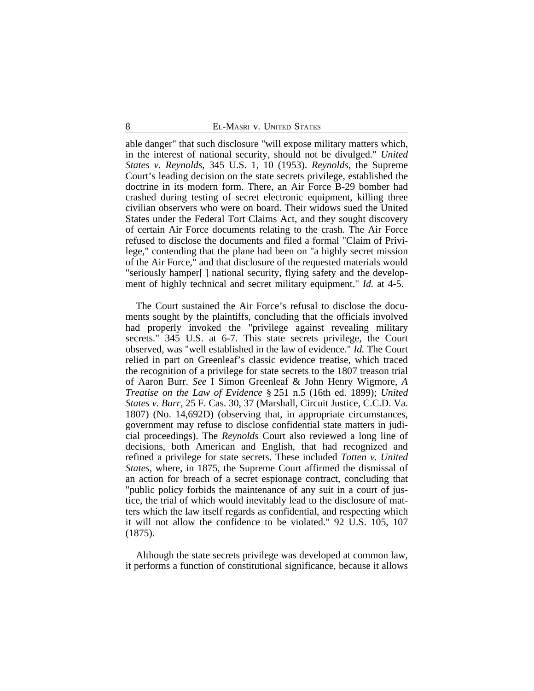able danger" that such disclosure "will expose military matters which, in the interest of national security, should not be divulged." *United States v. Reynolds*, 345 U.S. 1, 10 (1953). *Reynolds*, the Supreme Court's leading decision on the state secrets privilege, established the doctrine in its modern form. There, an Air Force B-29 bomber had crashed during testing of secret electronic equipment, killing three civilian observers who were on board. Their widows sued the United States under the Federal Tort Claims Act, and they sought discovery of certain Air Force documents relating to the crash. The Air Force refused to disclose the documents and filed a formal "Claim of Privilege," contending that the plane had been on "a highly secret mission of the Air Force," and that disclosure of the requested materials would "seriously hamper[ ] national security, flying safety and the development of highly technical and secret military equipment." *Id.* at 4-5.

The Court sustained the Air Force's refusal to disclose the documents sought by the plaintiffs, concluding that the officials involved had properly invoked the "privilege against revealing military secrets." 345 U.S. at 6-7. This state secrets privilege, the Court observed, was "well established in the law of evidence." *Id.* The Court relied in part on Greenleaf's classic evidence treatise, which traced the recognition of a privilege for state secrets to the 1807 treason trial of Aaron Burr. *See* I Simon Greenleaf & John Henry Wigmore, *A Treatise on the Law of Evidence* § 251 n.5 (16th ed. 1899); *United States v. Burr*, 25 F. Cas. 30, 37 (Marshall, Circuit Justice, C.C.D. Va. 1807) (No. 14,692D) (observing that, in appropriate circumstances, government may refuse to disclose confidential state matters in judicial proceedings). The *Reynolds* Court also reviewed a long line of decisions, both American and English, that had recognized and refined a privilege for state secrets. These included *Totten v. United States*, where, in 1875, the Supreme Court affirmed the dismissal of an action for breach of a secret espionage contract, concluding that "public policy forbids the maintenance of any suit in a court of justice, the trial of which would inevitably lead to the disclosure of matters which the law itself regards as confidential, and respecting which it will not allow the confidence to be violated." 92 U.S. 105, 107 (1875).

Although the state secrets privilege was developed at common law, it performs a function of constitutional significance, because it allows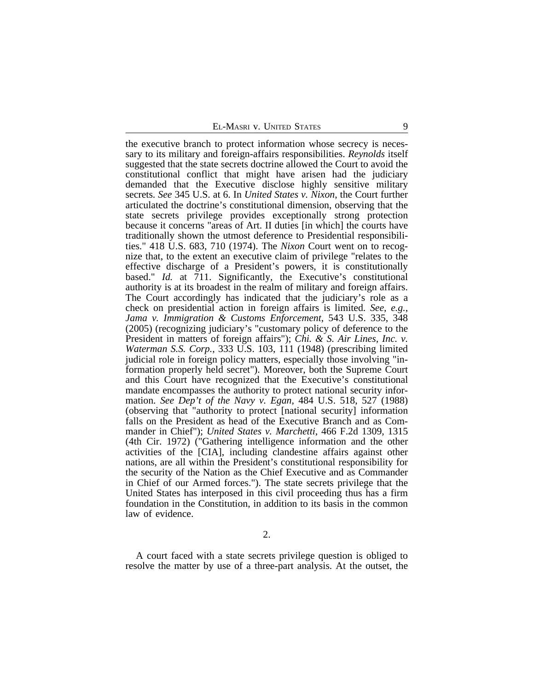the executive branch to protect information whose secrecy is necessary to its military and foreign-affairs responsibilities. *Reynolds* itself suggested that the state secrets doctrine allowed the Court to avoid the constitutional conflict that might have arisen had the judiciary demanded that the Executive disclose highly sensitive military secrets. *See* 345 U.S. at 6. In *United States v. Nixon*, the Court further articulated the doctrine's constitutional dimension, observing that the state secrets privilege provides exceptionally strong protection because it concerns "areas of Art. II duties [in which] the courts have traditionally shown the utmost deference to Presidential responsibilities." 418 U.S. 683, 710 (1974). The *Nixon* Court went on to recognize that, to the extent an executive claim of privilege "relates to the effective discharge of a President's powers, it is constitutionally based." *Id.* at 711. Significantly, the Executive's constitutional authority is at its broadest in the realm of military and foreign affairs. The Court accordingly has indicated that the judiciary's role as a check on presidential action in foreign affairs is limited. *See, e.g.*, *Jama v. Immigration & Customs Enforcement*, 543 U.S. 335, 348 (2005) (recognizing judiciary's "customary policy of deference to the President in matters of foreign affairs"); *Chi. & S. Air Lines, Inc. v. Waterman S.S. Corp.*, 333 U.S. 103, 111 (1948) (prescribing limited judicial role in foreign policy matters, especially those involving "information properly held secret"). Moreover, both the Supreme Court and this Court have recognized that the Executive's constitutional mandate encompasses the authority to protect national security information. *See Dep't of the Navy v. Egan*, 484 U.S. 518, 527 (1988) (observing that "authority to protect [national security] information falls on the President as head of the Executive Branch and as Commander in Chief"); *United States v. Marchetti*, 466 F.2d 1309, 1315 (4th Cir. 1972) ("Gathering intelligence information and the other activities of the [CIA], including clandestine affairs against other nations, are all within the President's constitutional responsibility for the security of the Nation as the Chief Executive and as Commander in Chief of our Armed forces."). The state secrets privilege that the United States has interposed in this civil proceeding thus has a firm foundation in the Constitution, in addition to its basis in the common law of evidence.

2.

A court faced with a state secrets privilege question is obliged to resolve the matter by use of a three-part analysis. At the outset, the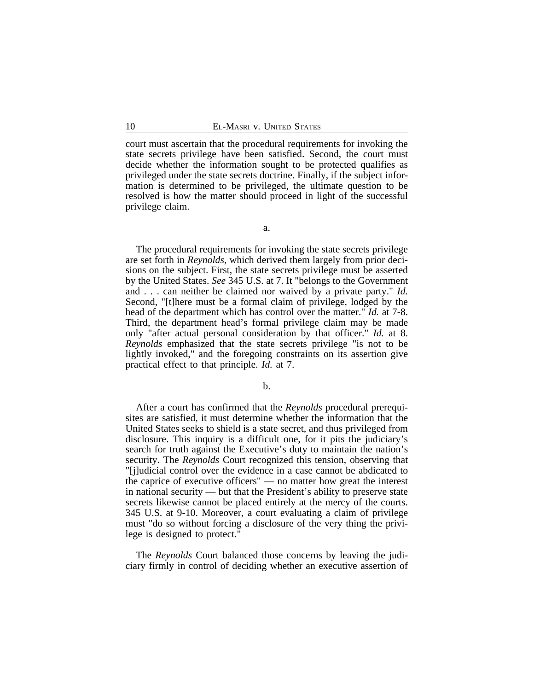court must ascertain that the procedural requirements for invoking the state secrets privilege have been satisfied. Second, the court must decide whether the information sought to be protected qualifies as privileged under the state secrets doctrine. Finally, if the subject information is determined to be privileged, the ultimate question to be resolved is how the matter should proceed in light of the successful privilege claim.

a.

The procedural requirements for invoking the state secrets privilege are set forth in *Reynolds*, which derived them largely from prior decisions on the subject. First, the state secrets privilege must be asserted by the United States. *See* 345 U.S. at 7. It "belongs to the Government and . . . can neither be claimed nor waived by a private party." *Id.* Second, "[t]here must be a formal claim of privilege, lodged by the head of the department which has control over the matter." *Id.* at 7-8. Third, the department head's formal privilege claim may be made only "after actual personal consideration by that officer." *Id.* at 8. *Reynolds* emphasized that the state secrets privilege "is not to be lightly invoked," and the foregoing constraints on its assertion give practical effect to that principle. *Id.* at 7.

b.

After a court has confirmed that the *Reynolds* procedural prerequisites are satisfied, it must determine whether the information that the United States seeks to shield is a state secret, and thus privileged from disclosure. This inquiry is a difficult one, for it pits the judiciary's search for truth against the Executive's duty to maintain the nation's security. The *Reynolds* Court recognized this tension, observing that "[j]udicial control over the evidence in a case cannot be abdicated to the caprice of executive officers" — no matter how great the interest in national security — but that the President's ability to preserve state secrets likewise cannot be placed entirely at the mercy of the courts. 345 U.S. at 9-10. Moreover, a court evaluating a claim of privilege must "do so without forcing a disclosure of the very thing the privilege is designed to protect."

The *Reynolds* Court balanced those concerns by leaving the judiciary firmly in control of deciding whether an executive assertion of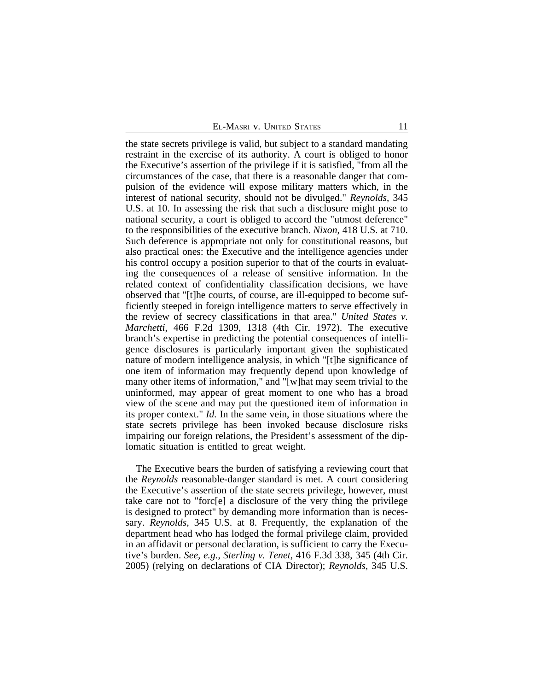the state secrets privilege is valid, but subject to a standard mandating restraint in the exercise of its authority. A court is obliged to honor the Executive's assertion of the privilege if it is satisfied, "from all the circumstances of the case, that there is a reasonable danger that compulsion of the evidence will expose military matters which, in the interest of national security, should not be divulged." *Reynolds*, 345 U.S. at 10. In assessing the risk that such a disclosure might pose to national security, a court is obliged to accord the "utmost deference" to the responsibilities of the executive branch. *Nixon*, 418 U.S. at 710. Such deference is appropriate not only for constitutional reasons, but also practical ones: the Executive and the intelligence agencies under his control occupy a position superior to that of the courts in evaluating the consequences of a release of sensitive information. In the related context of confidentiality classification decisions, we have observed that "[t]he courts, of course, are ill-equipped to become sufficiently steeped in foreign intelligence matters to serve effectively in the review of secrecy classifications in that area." *United States v. Marchetti*, 466 F.2d 1309, 1318 (4th Cir. 1972). The executive branch's expertise in predicting the potential consequences of intelligence disclosures is particularly important given the sophisticated nature of modern intelligence analysis, in which "[t]he significance of one item of information may frequently depend upon knowledge of many other items of information," and "[w]hat may seem trivial to the uninformed, may appear of great moment to one who has a broad view of the scene and may put the questioned item of information in its proper context." *Id.* In the same vein, in those situations where the state secrets privilege has been invoked because disclosure risks impairing our foreign relations, the President's assessment of the diplomatic situation is entitled to great weight.

The Executive bears the burden of satisfying a reviewing court that the *Reynolds* reasonable-danger standard is met. A court considering the Executive's assertion of the state secrets privilege, however, must take care not to "forc[e] a disclosure of the very thing the privilege is designed to protect" by demanding more information than is necessary. *Reynolds*, 345 U.S. at 8. Frequently, the explanation of the department head who has lodged the formal privilege claim, provided in an affidavit or personal declaration, is sufficient to carry the Executive's burden. *See, e.g.*, *Sterling v. Tenet*, 416 F.3d 338, 345 (4th Cir. 2005) (relying on declarations of CIA Director); *Reynolds*, 345 U.S.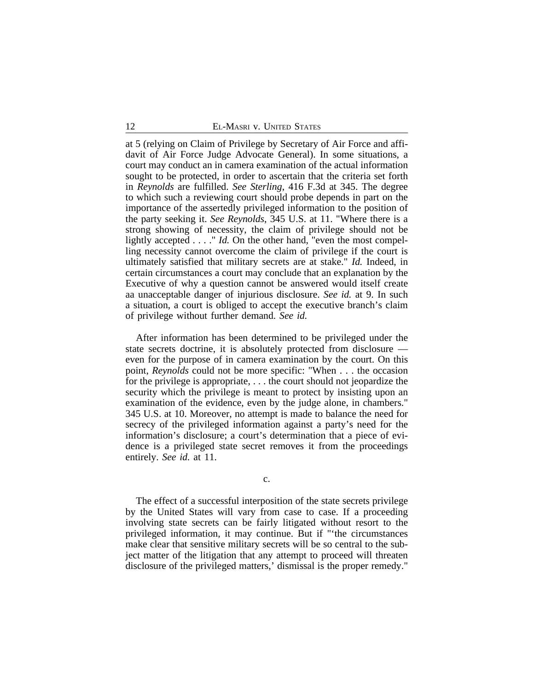at 5 (relying on Claim of Privilege by Secretary of Air Force and affidavit of Air Force Judge Advocate General). In some situations, a court may conduct an in camera examination of the actual information sought to be protected, in order to ascertain that the criteria set forth in *Reynolds* are fulfilled. *See Sterling*, 416 F.3d at 345. The degree to which such a reviewing court should probe depends in part on the importance of the assertedly privileged information to the position of the party seeking it. *See Reynolds*, 345 U.S. at 11. "Where there is a strong showing of necessity, the claim of privilege should not be lightly accepted . . . ." *Id.* On the other hand, "even the most compelling necessity cannot overcome the claim of privilege if the court is ultimately satisfied that military secrets are at stake." *Id.* Indeed, in certain circumstances a court may conclude that an explanation by the Executive of why a question cannot be answered would itself create aa unacceptable danger of injurious disclosure. *See id.* at 9. In such a situation, a court is obliged to accept the executive branch's claim of privilege without further demand. *See id.*

After information has been determined to be privileged under the state secrets doctrine, it is absolutely protected from disclosure even for the purpose of in camera examination by the court. On this point, *Reynolds* could not be more specific: "When . . . the occasion for the privilege is appropriate, . . . the court should not jeopardize the security which the privilege is meant to protect by insisting upon an examination of the evidence, even by the judge alone, in chambers." 345 U.S. at 10. Moreover, no attempt is made to balance the need for secrecy of the privileged information against a party's need for the information's disclosure; a court's determination that a piece of evidence is a privileged state secret removes it from the proceedings entirely. *See id.* at 11.

c.

The effect of a successful interposition of the state secrets privilege by the United States will vary from case to case. If a proceeding involving state secrets can be fairly litigated without resort to the privileged information, it may continue. But if "'the circumstances make clear that sensitive military secrets will be so central to the subject matter of the litigation that any attempt to proceed will threaten disclosure of the privileged matters,' dismissal is the proper remedy."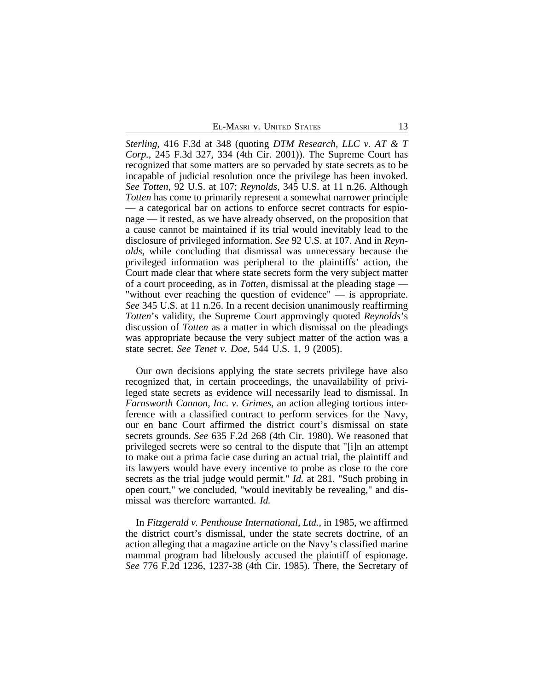*Sterling*, 416 F.3d at 348 (quoting *DTM Research, LLC v. AT & T Corp.*, 245 F.3d 327, 334 (4th Cir. 2001)). The Supreme Court has recognized that some matters are so pervaded by state secrets as to be incapable of judicial resolution once the privilege has been invoked. *See Totten*, 92 U.S. at 107; *Reynolds*, 345 U.S. at 11 n.26. Although *Totten* has come to primarily represent a somewhat narrower principle — a categorical bar on actions to enforce secret contracts for espionage — it rested, as we have already observed, on the proposition that a cause cannot be maintained if its trial would inevitably lead to the disclosure of privileged information. *See* 92 U.S. at 107. And in *Reynolds*, while concluding that dismissal was unnecessary because the privileged information was peripheral to the plaintiffs' action, the Court made clear that where state secrets form the very subject matter of a court proceeding, as in *Totten*, dismissal at the pleading stage — "without ever reaching the question of evidence" — is appropriate. *See* 345 U.S. at 11 n.26. In a recent decision unanimously reaffirming *Totten*'s validity, the Supreme Court approvingly quoted *Reynolds*'s discussion of *Totten* as a matter in which dismissal on the pleadings was appropriate because the very subject matter of the action was a state secret. *See Tenet v. Doe*, 544 U.S. 1, 9 (2005).

Our own decisions applying the state secrets privilege have also recognized that, in certain proceedings, the unavailability of privileged state secrets as evidence will necessarily lead to dismissal. In *Farnsworth Cannon, Inc. v. Grimes*, an action alleging tortious interference with a classified contract to perform services for the Navy, our en banc Court affirmed the district court's dismissal on state secrets grounds. *See* 635 F.2d 268 (4th Cir. 1980). We reasoned that privileged secrets were so central to the dispute that "[i]n an attempt to make out a prima facie case during an actual trial, the plaintiff and its lawyers would have every incentive to probe as close to the core secrets as the trial judge would permit." *Id.* at 281. "Such probing in open court," we concluded, "would inevitably be revealing," and dismissal was therefore warranted. *Id.*

In *Fitzgerald v. Penthouse International, Ltd.*, in 1985, we affirmed the district court's dismissal, under the state secrets doctrine, of an action alleging that a magazine article on the Navy's classified marine mammal program had libelously accused the plaintiff of espionage. *See* 776 F.2d 1236, 1237-38 (4th Cir. 1985). There, the Secretary of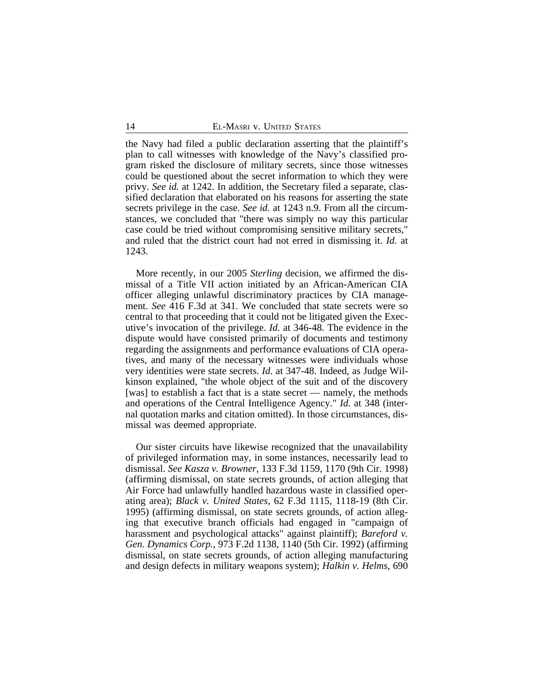the Navy had filed a public declaration asserting that the plaintiff's plan to call witnesses with knowledge of the Navy's classified program risked the disclosure of military secrets, since those witnesses could be questioned about the secret information to which they were privy. *See id.* at 1242. In addition, the Secretary filed a separate, classified declaration that elaborated on his reasons for asserting the state secrets privilege in the case. *See id.* at 1243 n.9. From all the circumstances, we concluded that "there was simply no way this particular case could be tried without compromising sensitive military secrets," and ruled that the district court had not erred in dismissing it. *Id.* at 1243.

More recently, in our 2005 *Sterling* decision, we affirmed the dismissal of a Title VII action initiated by an African-American CIA officer alleging unlawful discriminatory practices by CIA management. *See* 416 F.3d at 341. We concluded that state secrets were so central to that proceeding that it could not be litigated given the Executive's invocation of the privilege. *Id.* at 346-48. The evidence in the dispute would have consisted primarily of documents and testimony regarding the assignments and performance evaluations of CIA operatives, and many of the necessary witnesses were individuals whose very identities were state secrets. *Id.* at 347-48. Indeed, as Judge Wilkinson explained, "the whole object of the suit and of the discovery [was] to establish a fact that is a state secret — namely, the methods and operations of the Central Intelligence Agency." *Id.* at 348 (internal quotation marks and citation omitted). In those circumstances, dismissal was deemed appropriate.

Our sister circuits have likewise recognized that the unavailability of privileged information may, in some instances, necessarily lead to dismissal. *See Kasza v. Browner*, 133 F.3d 1159, 1170 (9th Cir. 1998) (affirming dismissal, on state secrets grounds, of action alleging that Air Force had unlawfully handled hazardous waste in classified operating area); *Black v. United States*, 62 F.3d 1115, 1118-19 (8th Cir. 1995) (affirming dismissal, on state secrets grounds, of action alleging that executive branch officials had engaged in "campaign of harassment and psychological attacks" against plaintiff); *Bareford v. Gen. Dynamics Corp.*, 973 F.2d 1138, 1140 (5th Cir. 1992) (affirming dismissal, on state secrets grounds, of action alleging manufacturing and design defects in military weapons system); *Halkin v. Helms*, 690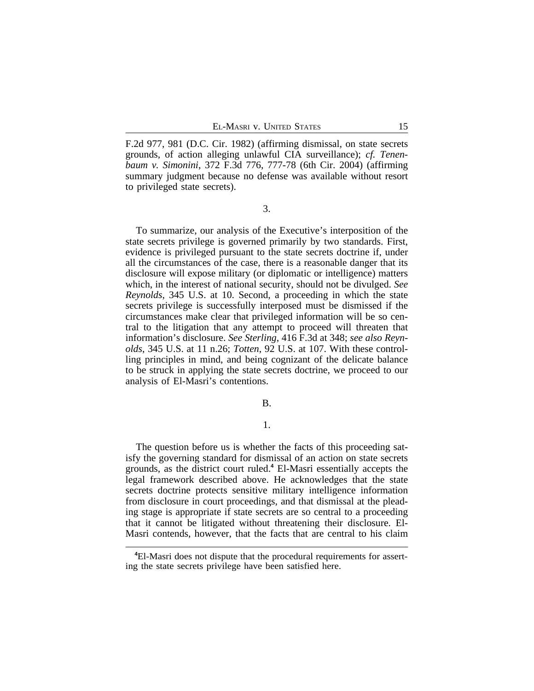F.2d 977, 981 (D.C. Cir. 1982) (affirming dismissal, on state secrets grounds, of action alleging unlawful CIA surveillance); *cf. Tenenbaum v. Simonini*, 372 F.3d 776, 777-78 (6th Cir. 2004) (affirming summary judgment because no defense was available without resort to privileged state secrets).

3.

To summarize, our analysis of the Executive's interposition of the state secrets privilege is governed primarily by two standards. First, evidence is privileged pursuant to the state secrets doctrine if, under all the circumstances of the case, there is a reasonable danger that its disclosure will expose military (or diplomatic or intelligence) matters which, in the interest of national security, should not be divulged. *See Reynolds*, 345 U.S. at 10. Second, a proceeding in which the state secrets privilege is successfully interposed must be dismissed if the circumstances make clear that privileged information will be so central to the litigation that any attempt to proceed will threaten that information's disclosure. *See Sterling*, 416 F.3d at 348; *see also Reynolds*, 345 U.S. at 11 n.26; *Totten*, 92 U.S. at 107. With these controlling principles in mind, and being cognizant of the delicate balance to be struck in applying the state secrets doctrine, we proceed to our analysis of El-Masri's contentions.

B.

### 1.

The question before us is whether the facts of this proceeding satisfy the governing standard for dismissal of an action on state secrets grounds, as the district court ruled.**<sup>4</sup>** El-Masri essentially accepts the legal framework described above. He acknowledges that the state secrets doctrine protects sensitive military intelligence information from disclosure in court proceedings, and that dismissal at the pleading stage is appropriate if state secrets are so central to a proceeding that it cannot be litigated without threatening their disclosure. El-Masri contends, however, that the facts that are central to his claim

**<sup>4</sup>**El-Masri does not dispute that the procedural requirements for asserting the state secrets privilege have been satisfied here.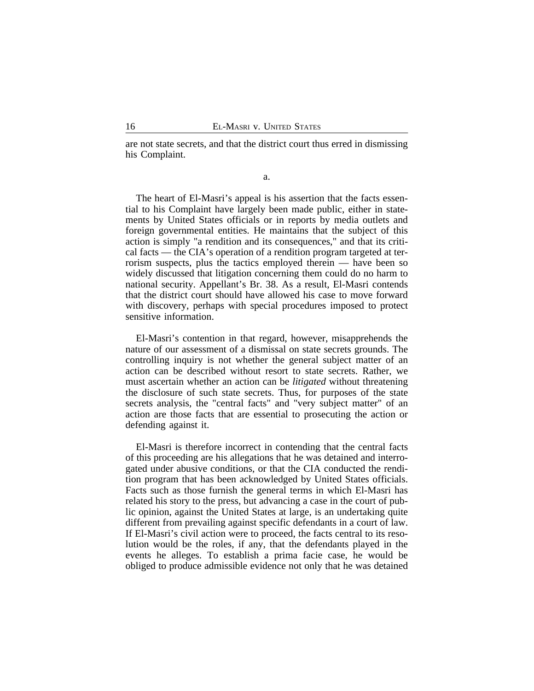are not state secrets, and that the district court thus erred in dismissing his Complaint.

a.

The heart of El-Masri's appeal is his assertion that the facts essential to his Complaint have largely been made public, either in statements by United States officials or in reports by media outlets and foreign governmental entities. He maintains that the subject of this action is simply "a rendition and its consequences," and that its critical facts — the CIA's operation of a rendition program targeted at terrorism suspects, plus the tactics employed therein — have been so widely discussed that litigation concerning them could do no harm to national security. Appellant's Br. 38. As a result, El-Masri contends that the district court should have allowed his case to move forward with discovery, perhaps with special procedures imposed to protect sensitive information.

El-Masri's contention in that regard, however, misapprehends the nature of our assessment of a dismissal on state secrets grounds. The controlling inquiry is not whether the general subject matter of an action can be described without resort to state secrets. Rather, we must ascertain whether an action can be *litigated* without threatening the disclosure of such state secrets. Thus, for purposes of the state secrets analysis, the "central facts" and "very subject matter" of an action are those facts that are essential to prosecuting the action or defending against it.

El-Masri is therefore incorrect in contending that the central facts of this proceeding are his allegations that he was detained and interrogated under abusive conditions, or that the CIA conducted the rendition program that has been acknowledged by United States officials. Facts such as those furnish the general terms in which El-Masri has related his story to the press, but advancing a case in the court of public opinion, against the United States at large, is an undertaking quite different from prevailing against specific defendants in a court of law. If El-Masri's civil action were to proceed, the facts central to its resolution would be the roles, if any, that the defendants played in the events he alleges. To establish a prima facie case, he would be obliged to produce admissible evidence not only that he was detained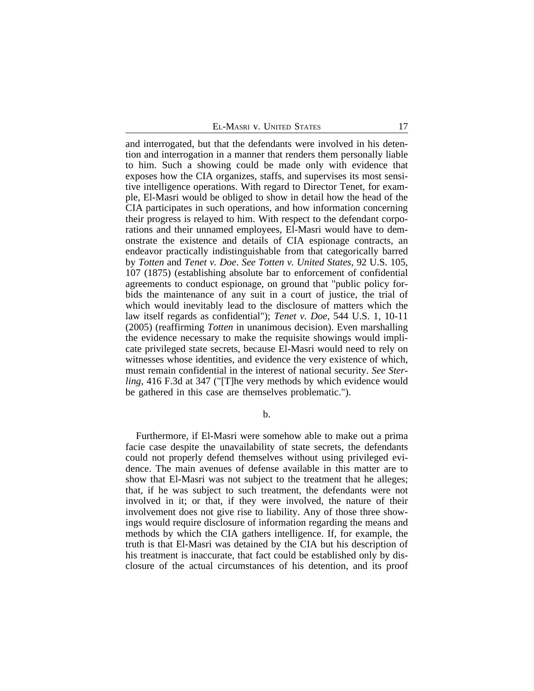and interrogated, but that the defendants were involved in his detention and interrogation in a manner that renders them personally liable to him. Such a showing could be made only with evidence that exposes how the CIA organizes, staffs, and supervises its most sensitive intelligence operations. With regard to Director Tenet, for example, El-Masri would be obliged to show in detail how the head of the CIA participates in such operations, and how information concerning their progress is relayed to him. With respect to the defendant corporations and their unnamed employees, El-Masri would have to demonstrate the existence and details of CIA espionage contracts, an endeavor practically indistinguishable from that categorically barred by *Totten* and *Tenet v. Doe*. *See Totten v. United States*, 92 U.S. 105, 107 (1875) (establishing absolute bar to enforcement of confidential agreements to conduct espionage, on ground that "public policy forbids the maintenance of any suit in a court of justice, the trial of which would inevitably lead to the disclosure of matters which the law itself regards as confidential"); *Tenet v. Doe*, 544 U.S. 1, 10-11 (2005) (reaffirming *Totten* in unanimous decision). Even marshalling the evidence necessary to make the requisite showings would implicate privileged state secrets, because El-Masri would need to rely on witnesses whose identities, and evidence the very existence of which, must remain confidential in the interest of national security. *See Sterling*, 416 F.3d at 347 ("[T]he very methods by which evidence would be gathered in this case are themselves problematic.").

b.

Furthermore, if El-Masri were somehow able to make out a prima facie case despite the unavailability of state secrets, the defendants could not properly defend themselves without using privileged evidence. The main avenues of defense available in this matter are to show that El-Masri was not subject to the treatment that he alleges; that, if he was subject to such treatment, the defendants were not involved in it; or that, if they were involved, the nature of their involvement does not give rise to liability. Any of those three showings would require disclosure of information regarding the means and methods by which the CIA gathers intelligence. If, for example, the truth is that El-Masri was detained by the CIA but his description of his treatment is inaccurate, that fact could be established only by disclosure of the actual circumstances of his detention, and its proof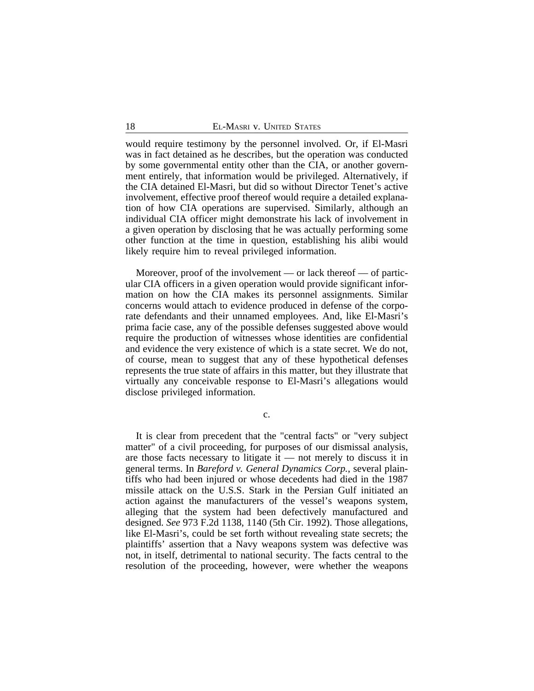would require testimony by the personnel involved. Or, if El-Masri was in fact detained as he describes, but the operation was conducted by some governmental entity other than the CIA, or another government entirely, that information would be privileged. Alternatively, if the CIA detained El-Masri, but did so without Director Tenet's active involvement, effective proof thereof would require a detailed explanation of how CIA operations are supervised. Similarly, although an individual CIA officer might demonstrate his lack of involvement in a given operation by disclosing that he was actually performing some other function at the time in question, establishing his alibi would likely require him to reveal privileged information.

Moreover, proof of the involvement — or lack thereof — of particular CIA officers in a given operation would provide significant information on how the CIA makes its personnel assignments. Similar concerns would attach to evidence produced in defense of the corporate defendants and their unnamed employees. And, like El-Masri's prima facie case, any of the possible defenses suggested above would require the production of witnesses whose identities are confidential and evidence the very existence of which is a state secret. We do not, of course, mean to suggest that any of these hypothetical defenses represents the true state of affairs in this matter, but they illustrate that virtually any conceivable response to El-Masri's allegations would disclose privileged information.

c.

It is clear from precedent that the "central facts" or "very subject matter" of a civil proceeding, for purposes of our dismissal analysis, are those facts necessary to litigate it — not merely to discuss it in general terms. In *Bareford v. General Dynamics Corp.*, several plaintiffs who had been injured or whose decedents had died in the 1987 missile attack on the U.S.S. Stark in the Persian Gulf initiated an action against the manufacturers of the vessel's weapons system, alleging that the system had been defectively manufactured and designed. *See* 973 F.2d 1138, 1140 (5th Cir. 1992). Those allegations, like El-Masri's, could be set forth without revealing state secrets; the plaintiffs' assertion that a Navy weapons system was defective was not, in itself, detrimental to national security. The facts central to the resolution of the proceeding, however, were whether the weapons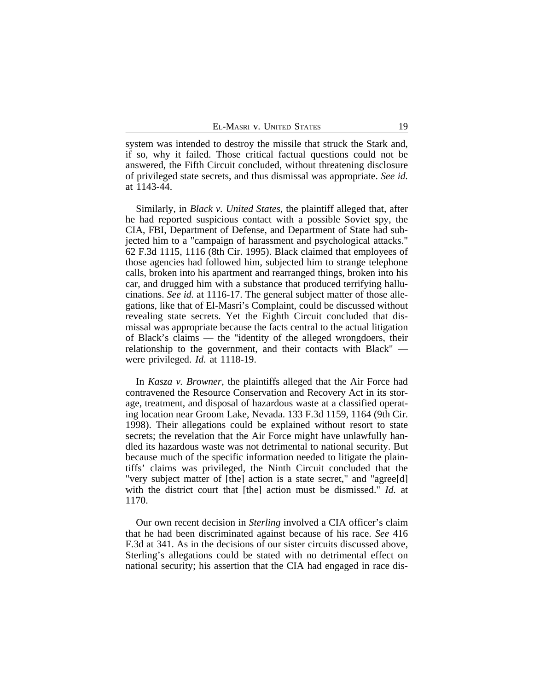system was intended to destroy the missile that struck the Stark and, if so, why it failed. Those critical factual questions could not be answered, the Fifth Circuit concluded, without threatening disclosure of privileged state secrets, and thus dismissal was appropriate. *See id.* at 1143-44.

Similarly, in *Black v. United States*, the plaintiff alleged that, after he had reported suspicious contact with a possible Soviet spy, the CIA, FBI, Department of Defense, and Department of State had subjected him to a "campaign of harassment and psychological attacks." 62 F.3d 1115, 1116 (8th Cir. 1995). Black claimed that employees of those agencies had followed him, subjected him to strange telephone calls, broken into his apartment and rearranged things, broken into his car, and drugged him with a substance that produced terrifying hallucinations. *See id.* at 1116-17. The general subject matter of those allegations, like that of El-Masri's Complaint, could be discussed without revealing state secrets. Yet the Eighth Circuit concluded that dismissal was appropriate because the facts central to the actual litigation of Black's claims — the "identity of the alleged wrongdoers, their relationship to the government, and their contacts with Black" were privileged. *Id.* at 1118-19.

In *Kasza v. Browner*, the plaintiffs alleged that the Air Force had contravened the Resource Conservation and Recovery Act in its storage, treatment, and disposal of hazardous waste at a classified operating location near Groom Lake, Nevada. 133 F.3d 1159, 1164 (9th Cir. 1998). Their allegations could be explained without resort to state secrets; the revelation that the Air Force might have unlawfully handled its hazardous waste was not detrimental to national security. But because much of the specific information needed to litigate the plaintiffs' claims was privileged, the Ninth Circuit concluded that the "very subject matter of [the] action is a state secret," and "agree[d] with the district court that [the] action must be dismissed." *Id.* at 1170.

Our own recent decision in *Sterling* involved a CIA officer's claim that he had been discriminated against because of his race. *See* 416 F.3d at 341. As in the decisions of our sister circuits discussed above, Sterling's allegations could be stated with no detrimental effect on national security; his assertion that the CIA had engaged in race dis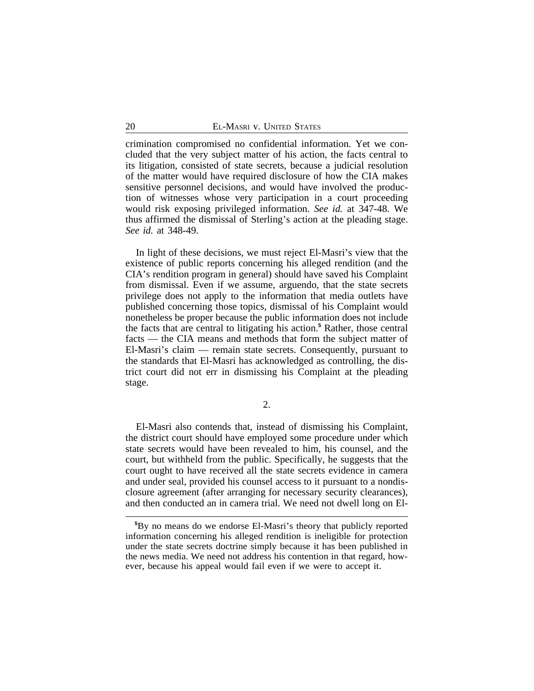crimination compromised no confidential information. Yet we concluded that the very subject matter of his action, the facts central to its litigation, consisted of state secrets, because a judicial resolution of the matter would have required disclosure of how the CIA makes sensitive personnel decisions, and would have involved the production of witnesses whose very participation in a court proceeding would risk exposing privileged information. *See id.* at 347-48. We thus affirmed the dismissal of Sterling's action at the pleading stage. *See id.* at 348-49.

In light of these decisions, we must reject El-Masri's view that the existence of public reports concerning his alleged rendition (and the CIA's rendition program in general) should have saved his Complaint from dismissal. Even if we assume, arguendo, that the state secrets privilege does not apply to the information that media outlets have published concerning those topics, dismissal of his Complaint would nonetheless be proper because the public information does not include the facts that are central to litigating his action.**<sup>5</sup>** Rather, those central facts — the CIA means and methods that form the subject matter of El-Masri's claim — remain state secrets. Consequently, pursuant to the standards that El-Masri has acknowledged as controlling, the district court did not err in dismissing his Complaint at the pleading stage.

2.

El-Masri also contends that, instead of dismissing his Complaint, the district court should have employed some procedure under which state secrets would have been revealed to him, his counsel, and the court, but withheld from the public. Specifically, he suggests that the court ought to have received all the state secrets evidence in camera and under seal, provided his counsel access to it pursuant to a nondisclosure agreement (after arranging for necessary security clearances), and then conducted an in camera trial. We need not dwell long on El-

**<sup>5</sup>**By no means do we endorse El-Masri's theory that publicly reported information concerning his alleged rendition is ineligible for protection under the state secrets doctrine simply because it has been published in the news media. We need not address his contention in that regard, however, because his appeal would fail even if we were to accept it.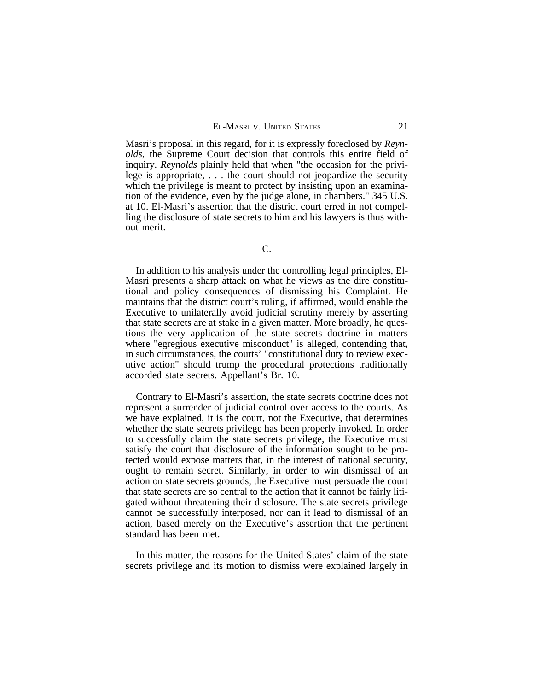Masri's proposal in this regard, for it is expressly foreclosed by *Reynolds*, the Supreme Court decision that controls this entire field of inquiry. *Reynolds* plainly held that when "the occasion for the privilege is appropriate, . . . the court should not jeopardize the security which the privilege is meant to protect by insisting upon an examination of the evidence, even by the judge alone, in chambers." 345 U.S. at 10. El-Masri's assertion that the district court erred in not compelling the disclosure of state secrets to him and his lawyers is thus without merit.

In addition to his analysis under the controlling legal principles, El-Masri presents a sharp attack on what he views as the dire constitutional and policy consequences of dismissing his Complaint. He maintains that the district court's ruling, if affirmed, would enable the Executive to unilaterally avoid judicial scrutiny merely by asserting that state secrets are at stake in a given matter. More broadly, he questions the very application of the state secrets doctrine in matters where "egregious executive misconduct" is alleged, contending that, in such circumstances, the courts' "constitutional duty to review executive action" should trump the procedural protections traditionally accorded state secrets. Appellant's Br. 10.

Contrary to El-Masri's assertion, the state secrets doctrine does not represent a surrender of judicial control over access to the courts. As we have explained, it is the court, not the Executive, that determines whether the state secrets privilege has been properly invoked. In order to successfully claim the state secrets privilege, the Executive must satisfy the court that disclosure of the information sought to be protected would expose matters that, in the interest of national security, ought to remain secret. Similarly, in order to win dismissal of an action on state secrets grounds, the Executive must persuade the court that state secrets are so central to the action that it cannot be fairly litigated without threatening their disclosure. The state secrets privilege cannot be successfully interposed, nor can it lead to dismissal of an action, based merely on the Executive's assertion that the pertinent standard has been met.

In this matter, the reasons for the United States' claim of the state secrets privilege and its motion to dismiss were explained largely in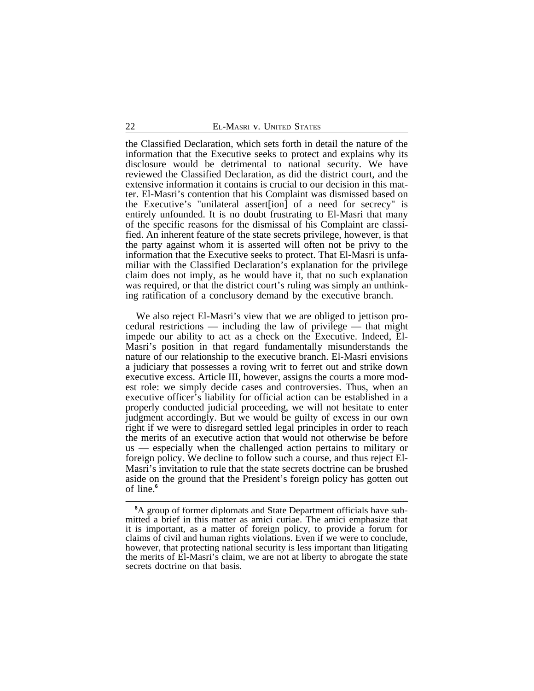the Classified Declaration, which sets forth in detail the nature of the information that the Executive seeks to protect and explains why its disclosure would be detrimental to national security. We have reviewed the Classified Declaration, as did the district court, and the extensive information it contains is crucial to our decision in this matter. El-Masri's contention that his Complaint was dismissed based on the Executive's "unilateral assert[ion] of a need for secrecy" is entirely unfounded. It is no doubt frustrating to El-Masri that many of the specific reasons for the dismissal of his Complaint are classified. An inherent feature of the state secrets privilege, however, is that the party against whom it is asserted will often not be privy to the information that the Executive seeks to protect. That El-Masri is unfamiliar with the Classified Declaration's explanation for the privilege claim does not imply, as he would have it, that no such explanation was required, or that the district court's ruling was simply an unthinking ratification of a conclusory demand by the executive branch.

We also reject El-Masri's view that we are obliged to jettison procedural restrictions — including the law of privilege — that might impede our ability to act as a check on the Executive. Indeed, El-Masri's position in that regard fundamentally misunderstands the nature of our relationship to the executive branch. El-Masri envisions a judiciary that possesses a roving writ to ferret out and strike down executive excess. Article III, however, assigns the courts a more modest role: we simply decide cases and controversies. Thus, when an executive officer's liability for official action can be established in a properly conducted judicial proceeding, we will not hesitate to enter judgment accordingly. But we would be guilty of excess in our own right if we were to disregard settled legal principles in order to reach the merits of an executive action that would not otherwise be before us — especially when the challenged action pertains to military or foreign policy. We decline to follow such a course, and thus reject El-Masri's invitation to rule that the state secrets doctrine can be brushed aside on the ground that the President's foreign policy has gotten out of line.**<sup>6</sup>**

**<sup>6</sup>**A group of former diplomats and State Department officials have submitted a brief in this matter as amici curiae. The amici emphasize that it is important, as a matter of foreign policy, to provide a forum for claims of civil and human rights violations. Even if we were to conclude, however, that protecting national security is less important than litigating the merits of El-Masri's claim, we are not at liberty to abrogate the state secrets doctrine on that basis.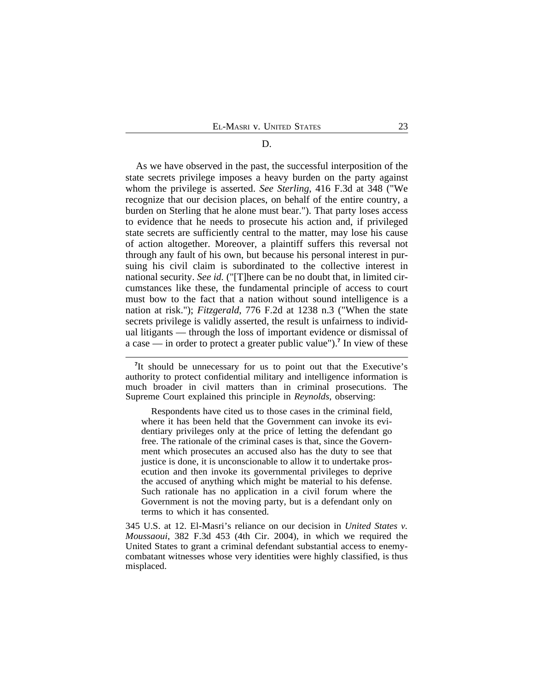### D.

As we have observed in the past, the successful interposition of the state secrets privilege imposes a heavy burden on the party against whom the privilege is asserted. *See Sterling*, 416 F.3d at 348 ("We recognize that our decision places, on behalf of the entire country, a burden on Sterling that he alone must bear."). That party loses access to evidence that he needs to prosecute his action and, if privileged state secrets are sufficiently central to the matter, may lose his cause of action altogether. Moreover, a plaintiff suffers this reversal not through any fault of his own, but because his personal interest in pursuing his civil claim is subordinated to the collective interest in national security. *See id.* ("[T]here can be no doubt that, in limited circumstances like these, the fundamental principle of access to court must bow to the fact that a nation without sound intelligence is a nation at risk."); *Fitzgerald*, 776 F.2d at 1238 n.3 ("When the state secrets privilege is validly asserted, the result is unfairness to individual litigants — through the loss of important evidence or dismissal of a case — in order to protect a greater public value").**<sup>7</sup>** In view of these

Respondents have cited us to those cases in the criminal field, where it has been held that the Government can invoke its evidentiary privileges only at the price of letting the defendant go free. The rationale of the criminal cases is that, since the Government which prosecutes an accused also has the duty to see that justice is done, it is unconscionable to allow it to undertake prosecution and then invoke its governmental privileges to deprive the accused of anything which might be material to his defense. Such rationale has no application in a civil forum where the Government is not the moving party, but is a defendant only on terms to which it has consented.

345 U.S. at 12. El-Masri's reliance on our decision in *United States v. Moussaoui*, 382 F.3d 453 (4th Cir. 2004), in which we required the United States to grant a criminal defendant substantial access to enemycombatant witnesses whose very identities were highly classified, is thus misplaced.

<sup>&</sup>lt;sup>7</sup>It should be unnecessary for us to point out that the Executive's authority to protect confidential military and intelligence information is much broader in civil matters than in criminal prosecutions. The Supreme Court explained this principle in *Reynolds*, observing: